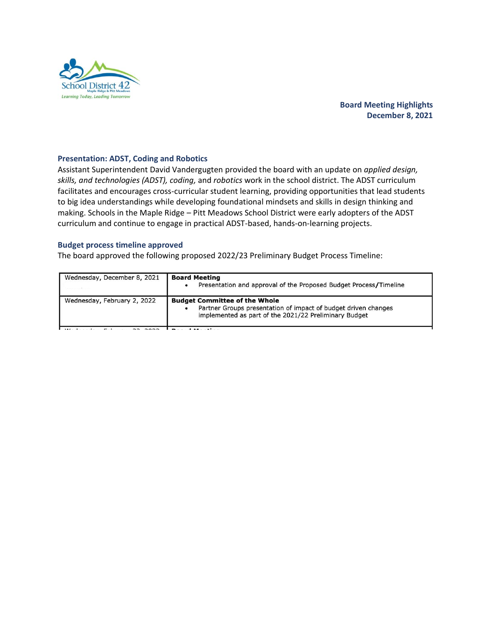

# **Board Meeting Highlights December 8, 2021**

## **Presentation: ADST, Coding and Robotics**

Assistant Superintendent David Vandergugten provided the board with an update on *applied design, skills, and technologies (ADST), coding,* and *robotics* work in the school district. The ADST curriculum facilitates and encourages cross-curricular student learning, providing opportunities that lead students to big idea understandings while developing foundational mindsets and skills in design thinking and making. Schools in the Maple Ridge – Pitt Meadows School District were early adopters of the ADST curriculum and continue to engage in practical ADST-based, hands-on-learning projects.

### **Budget process timeline approved**

The board approved the following proposed 2022/23 Preliminary Budget Process Timeline: